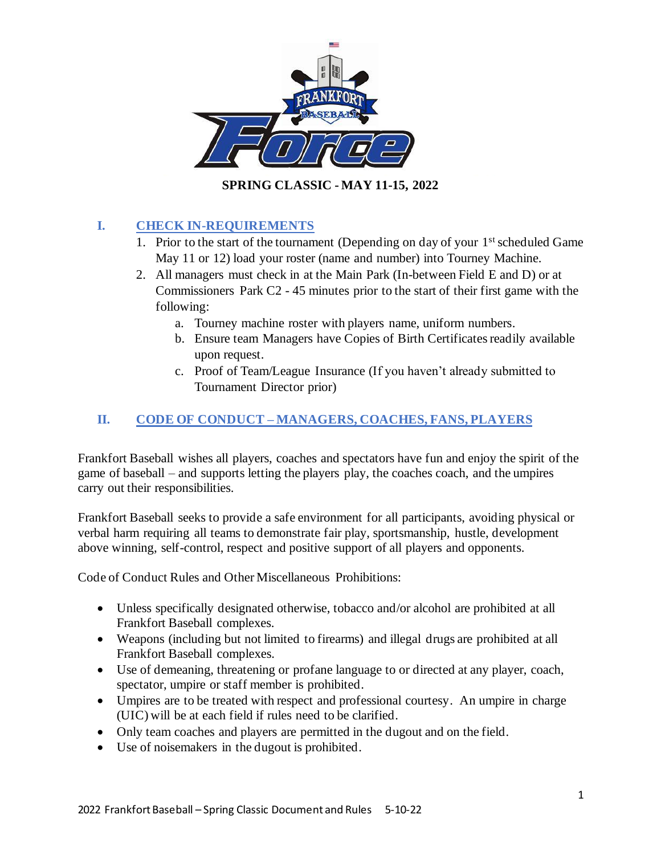

## **I. CHECK IN-REQUIREMENTS**

- 1. Prior to the start of the tournament (Depending on day of your  $1<sup>st</sup>$  scheduled Game May 11 or 12) load your roster (name and number) into Tourney Machine.
- 2. All managers must check in at the Main Park (In-between Field E and D) or at Commissioners Park C2 - 45 minutes prior to the start of their first game with the following:
	- a. Tourney machine roster with players name, uniform numbers.
	- b. Ensure team Managers have Copies of Birth Certificates readily available upon request.
	- c. Proof of Team/League Insurance (If you haven't already submitted to Tournament Director prior)

## **II. CODE OF CONDUCT – MANAGERS, COACHES, FANS, PLAYERS**

Frankfort Baseball wishes all players, coaches and spectators have fun and enjoy the spirit of the game of baseball – and supports letting the players play, the coaches coach, and the umpires carry out their responsibilities.

Frankfort Baseball seeks to provide a safe environment for all participants, avoiding physical or verbal harm requiring all teams to demonstrate fair play, sportsmanship, hustle, development above winning, self-control, respect and positive support of all players and opponents.

Code of Conduct Rules and Other Miscellaneous Prohibitions:

- Unless specifically designated otherwise, tobacco and/or alcohol are prohibited at all Frankfort Baseball complexes.
- Weapons (including but not limited to firearms) and illegal drugs are prohibited at all Frankfort Baseball complexes.
- Use of demeaning, threatening or profane language to or directed at any player, coach, spectator, umpire or staff member is prohibited.
- Umpires are to be treated with respect and professional courtesy. An umpire in charge (UIC) will be at each field if rules need to be clarified.
- Only team coaches and players are permitted in the dugout and on the field.
- Use of noisemakers in the dugout is prohibited.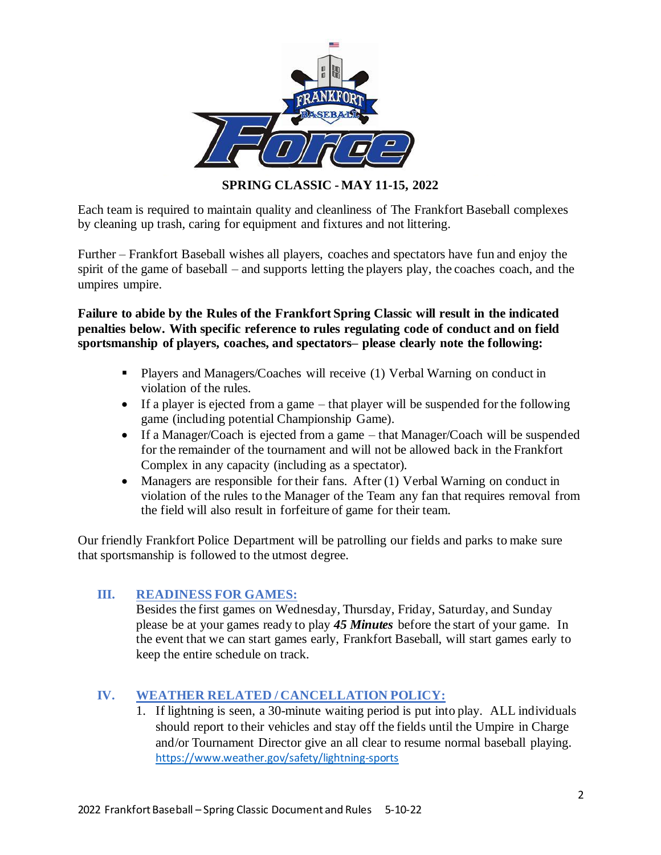

Each team is required to maintain quality and cleanliness of The Frankfort Baseball complexes by cleaning up trash, caring for equipment and fixtures and not littering.

Further – Frankfort Baseball wishes all players, coaches and spectators have fun and enjoy the spirit of the game of baseball – and supports letting the players play, the coaches coach, and the umpires umpire.

**Failure to abide by the Rules of the Frankfort Spring Classic will result in the indicated penalties below. With specific reference to rules regulating code of conduct and on field sportsmanship of players, coaches, and spectators– please clearly note the following:**

- Players and Managers/Coaches will receive (1) Verbal Warning on conduct in violation of the rules.
- If a player is ejected from a game that player will be suspended for the following game (including potential Championship Game).
- If a Manager/Coach is ejected from a game that Manager/Coach will be suspended for the remainder of the tournament and will not be allowed back in the Frankfort Complex in any capacity (including as a spectator).
- Managers are responsible for their fans. After (1) Verbal Warning on conduct in violation of the rules to the Manager of the Team any fan that requires removal from the field will also result in forfeiture of game for their team.

Our friendly Frankfort Police Department will be patrolling our fields and parks to make sure that sportsmanship is followed to the utmost degree.

### **III. READINESS FOR GAMES:**

Besides the first games on Wednesday, Thursday, Friday, Saturday, and Sunday please be at your games ready to play *45 Minutes* before the start of your game. In the event that we can start games early, Frankfort Baseball, will start games early to keep the entire schedule on track.

### **IV. WEATHER RELATED / CANCELLATION POLICY:**

1. If lightning is seen, a 30-minute waiting period is put into play. ALL individuals should report to their vehicles and stay off the fields until the Umpire in Charge and/or Tournament Director give an all clear to resume normal baseball playing. <https://www.weather.gov/safety/lightning-sports>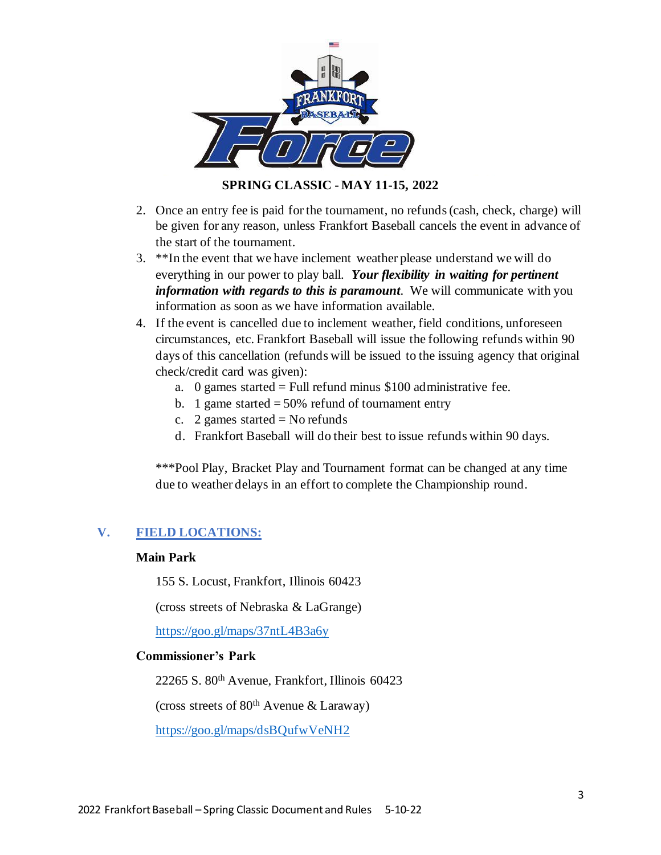

- 2. Once an entry fee is paid for the tournament, no refunds (cash, check, charge) will be given for any reason, unless Frankfort Baseball cancels the event in advance of the start of the tournament.
- 3. \*\*In the event that we have inclement weather please understand we will do everything in our power to play ball. *Your flexibility in waiting for pertinent information with regards to this is paramount*. We will communicate with you information as soon as we have information available.
- 4. If the event is cancelled due to inclement weather, field conditions, unforeseen circumstances, etc. Frankfort Baseball will issue the following refunds within 90 days of this cancellation (refunds will be issued to the issuing agency that original check/credit card was given):
	- a. 0 games started  $=$  Full refund minus \$100 administrative fee.
	- b. 1 game started  $= 50\%$  refund of tournament entry
	- c. 2 games started  $=$  No refunds
	- d. Frankfort Baseball will do their best to issue refunds within 90 days.

\*\*\*Pool Play, Bracket Play and Tournament format can be changed at any time due to weather delays in an effort to complete the Championship round.

### **V. FIELD LOCATIONS:**

#### **Main Park**

155 S. Locust, Frankfort, Illinois 60423

(cross streets of Nebraska & LaGrange)

<https://goo.gl/maps/37ntL4B3a6y>

#### **Commissioner's Park**

22265 S. 80th Avenue, Frankfort, Illinois 60423

(cross streets of  $80<sup>th</sup>$  Avenue & Laraway)

<https://goo.gl/maps/dsBQufwVeNH2>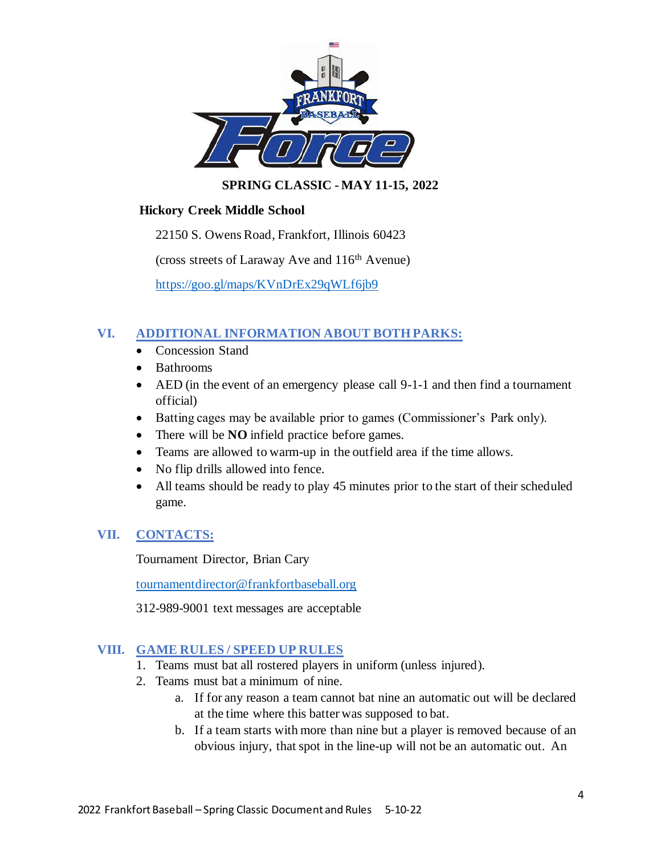

### **Hickory Creek Middle School**

22150 S. Owens Road, Frankfort, Illinois 60423

(cross streets of Laraway Ave and  $116<sup>th</sup>$  Avenue)

<https://goo.gl/maps/KVnDrEx29qWLf6jb9>

### **VI. ADDITIONAL INFORMATION ABOUT BOTH PARKS:**

- Concession Stand
- Bathrooms
- AED (in the event of an emergency please call 9-1-1 and then find a tournament official)
- Batting cages may be available prior to games (Commissioner's Park only).
- There will be **NO** infield practice before games.
- Teams are allowed to warm-up in the outfield area if the time allows.
- No flip drills allowed into fence.
- All teams should be ready to play 45 minutes prior to the start of their scheduled game.

### **VII. CONTACTS:**

Tournament Director, Brian Cary

[tournamentdirector@frankfortbaseball.org](mailto:tournamentdirector@frankfortbaseball.org)

312-989-9001 text messages are acceptable

### **VIII. GAME RULES / SPEED UP RULES**

- 1. Teams must bat all rostered players in uniform (unless injured).
- 2. Teams must bat a minimum of nine.
	- a. If for any reason a team cannot bat nine an automatic out will be declared at the time where this batter was supposed to bat.
	- b. If a team starts with more than nine but a player is removed because of an obvious injury, that spot in the line-up will not be an automatic out. An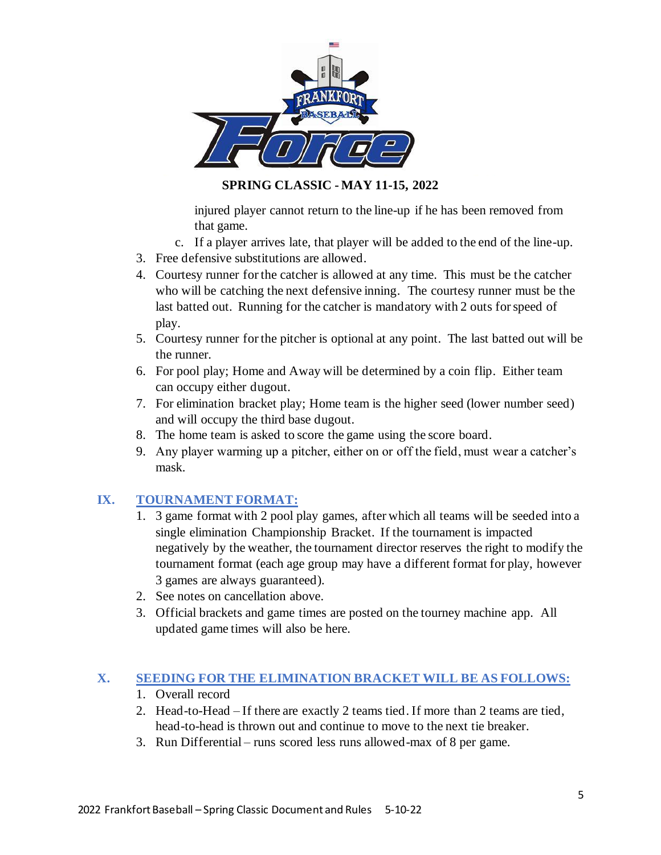

**SPRING CLASSIC - MAY 11-15, 2022**

injured player cannot return to the line-up if he has been removed from that game.

- c. If a player arrives late, that player will be added to the end of the line-up.
- 3. Free defensive substitutions are allowed.
- 4. Courtesy runner for the catcher is allowed at any time. This must be the catcher who will be catching the next defensive inning. The courtesy runner must be the last batted out. Running for the catcher is mandatory with 2 outs for speed of play.
- 5. Courtesy runner for the pitcher is optional at any point. The last batted out will be the runner.
- 6. For pool play; Home and Away will be determined by a coin flip. Either team can occupy either dugout.
- 7. For elimination bracket play; Home team is the higher seed (lower number seed) and will occupy the third base dugout.
- 8. The home team is asked to score the game using the score board.
- 9. Any player warming up a pitcher, either on or off the field, must wear a catcher's mask.

### **IX. TOURNAMENT FORMAT:**

- 1. 3 game format with 2 pool play games, after which all teams will be seeded into a single elimination Championship Bracket. If the tournament is impacted negatively by the weather, the tournament director reserves the right to modify the tournament format (each age group may have a different format for play, however 3 games are always guaranteed).
- 2. See notes on cancellation above.
- 3. Official brackets and game times are posted on the tourney machine app. All updated game times will also be here.

### **X. SEEDING FOR THE ELIMINATION BRACKET WILL BE AS FOLLOWS:**

- 1. Overall record
- 2. Head-to-Head If there are exactly 2 teams tied. If more than 2 teams are tied, head-to-head is thrown out and continue to move to the next tie breaker.
- 3. Run Differential runs scored less runs allowed-max of 8 per game.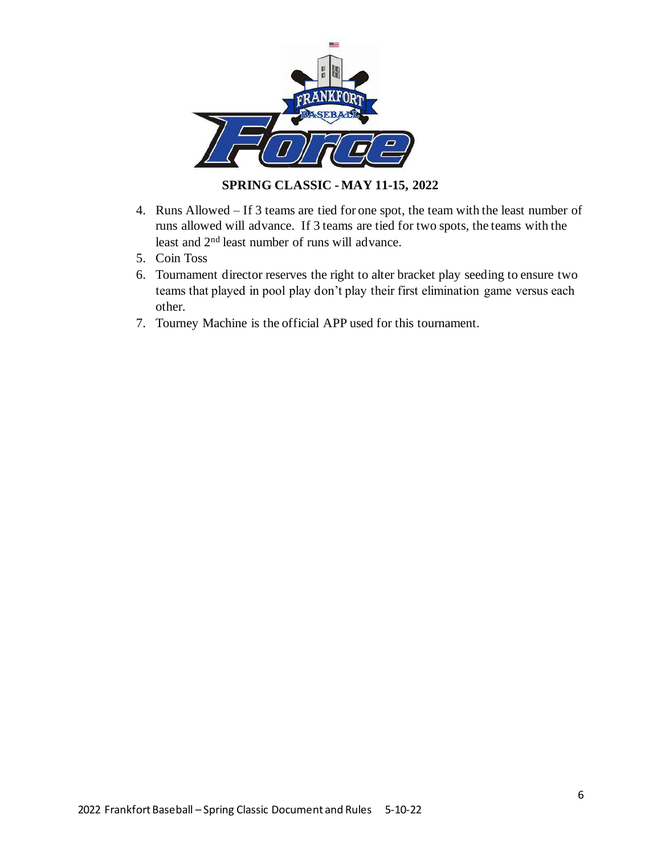

**SPRING CLASSIC - MAY 11-15, 2022**

- 4. Runs Allowed If 3 teams are tied for one spot, the team with the least number of runs allowed will advance. If 3 teams are tied for two spots, the teams with the least and 2nd least number of runs will advance.
- 5. Coin Toss
- 6. Tournament director reserves the right to alter bracket play seeding to ensure two teams that played in pool play don't play their first elimination game versus each other.
- 7. Tourney Machine is the official APP used for this tournament.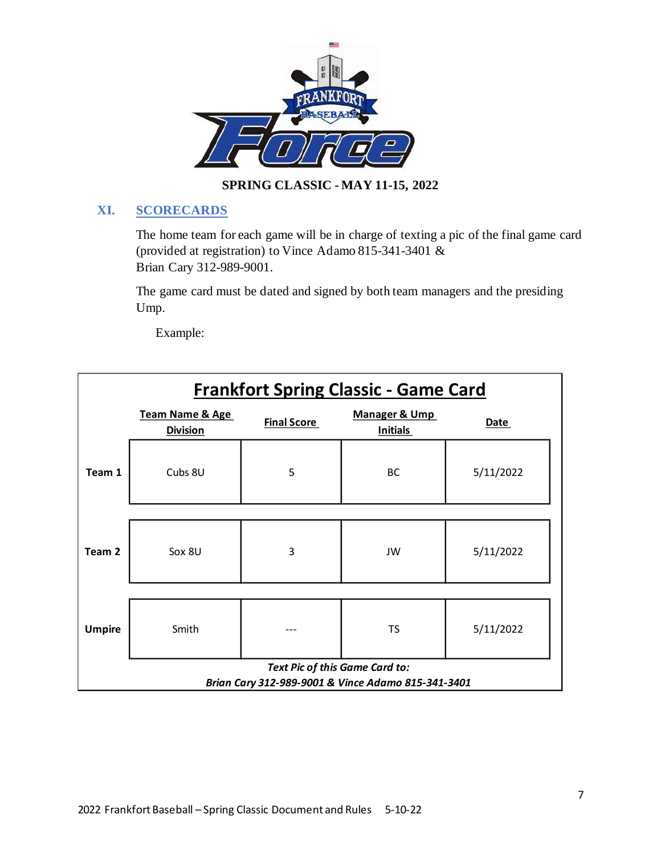

### **XI. SCORECARDS**

The home team for each game will be in charge of texting a pic of the final game card (provided at registration) to Vince Adamo 815-341-3401 & Brian Cary 312-989-9001.

The game card must be dated and signed by both team managers and the presiding Ump.

Example:

| <b>Frankfort Spring Classic - Game Card</b>        |                                               |                    |                                             |           |  |  |  |  |  |  |
|----------------------------------------------------|-----------------------------------------------|--------------------|---------------------------------------------|-----------|--|--|--|--|--|--|
|                                                    | <b>Team Name &amp; Age</b><br><b>Division</b> | <b>Final Score</b> | <b>Manager &amp; Ump</b><br><b>Initials</b> | Date      |  |  |  |  |  |  |
| Team 1                                             | Cubs 8U                                       | 5<br>BC            |                                             | 5/11/2022 |  |  |  |  |  |  |
|                                                    |                                               |                    |                                             |           |  |  |  |  |  |  |
| Team 2                                             | Sox 8U                                        | 3                  | JW                                          | 5/11/2022 |  |  |  |  |  |  |
|                                                    |                                               |                    |                                             |           |  |  |  |  |  |  |
| <b>Umpire</b>                                      | Smith                                         |                    | <b>TS</b>                                   | 5/11/2022 |  |  |  |  |  |  |
| Text Pic of this Game Card to:                     |                                               |                    |                                             |           |  |  |  |  |  |  |
| Brian Cary 312-989-9001 & Vince Adamo 815-341-3401 |                                               |                    |                                             |           |  |  |  |  |  |  |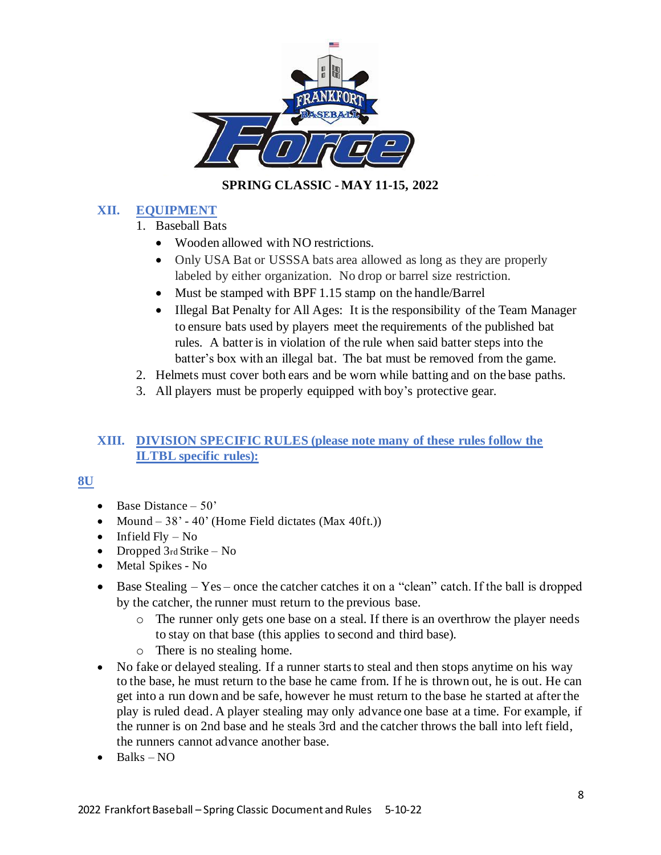

### **XII. EQUIPMENT**

- 1. Baseball Bats
	- Wooden allowed with NO restrictions.
	- Only USA Bat or USSSA bats area allowed as long as they are properly labeled by either organization. No drop or barrel size restriction.
	- Must be stamped with BPF 1.15 stamp on the handle/Barrel
	- Illegal Bat Penalty for All Ages: It is the responsibility of the Team Manager to ensure bats used by players meet the requirements of the published bat rules. A batter is in violation of the rule when said batter steps into the batter's box with an illegal bat. The bat must be removed from the game.
- 2. Helmets must cover both ears and be worn while batting and on the base paths.
- 3. All players must be properly equipped with boy's protective gear.

### **XIII. DIVISION SPECIFIC RULES (please note many of these rules follow the ILTBL specific rules):**

### **8U**

- Base Distance  $-50$ '
- Mound  $-38' 40'$  (Home Field dictates (Max 40ft.))
- Infield  $Fly No$
- Dropped 3rd Strike No
- Metal Spikes No
- Base Stealing Yes once the catcher catches it on a "clean" catch. If the ball is dropped by the catcher, the runner must return to the previous base.
	- o The runner only gets one base on a steal. If there is an overthrow the player needs to stay on that base (this applies to second and third base).
	- o There is no stealing home.
- No fake or delayed stealing. If a runner starts to steal and then stops anytime on his way to the base, he must return to the base he came from. If he is thrown out, he is out. He can get into a run down and be safe, however he must return to the base he started at after the play is ruled dead. A player stealing may only advance one base at a time. For example, if the runner is on 2nd base and he steals 3rd and the catcher throws the ball into left field, the runners cannot advance another base.
- $\bullet$  Balks NO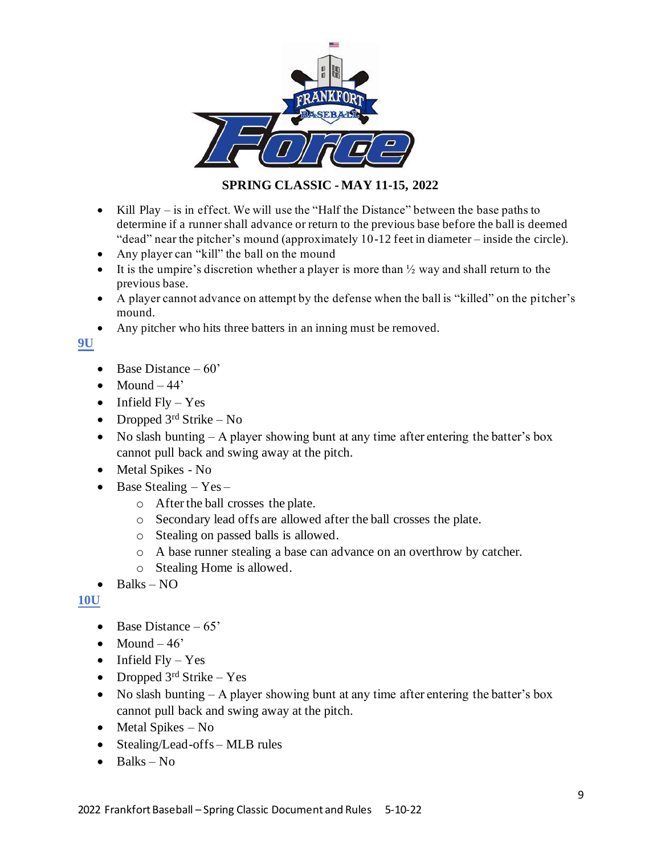

- Kill Play is in effect. We will use the "Half the Distance" between the base paths to determine if a runner shall advance or return to the previous base before the ball is deemed "dead" near the pitcher's mound (approximately 10-12 feet in diameter – inside the circle).
- Any player can "kill" the ball on the mound
- It is the umpire's discretion whether a player is more than  $\frac{1}{2}$  way and shall return to the previous base.
- A player cannot advance on attempt by the defense when the ball is "killed" on the pitcher's mound.
- Any pitcher who hits three batters in an inning must be removed.

**9U**

- Base Distance  $-60'$
- Mound  $-44'$
- Infield  $Fly Yes$
- Dropped  $3<sup>rd</sup>$  Strike No
- No slash bunting A player showing bunt at any time after entering the batter's box cannot pull back and swing away at the pitch.
- Metal Spikes No
- Base Stealing  $-$  Yes  $$ 
	- o After the ball crosses the plate.
	- o Secondary lead offs are allowed after the ball crosses the plate.
	- o Stealing on passed balls is allowed.
	- o A base runner stealing a base can advance on an overthrow by catcher.
	- o Stealing Home is allowed.
- Balks  $NO$

#### **10U**

- Base Distance  $-65'$
- Mound  $-46'$
- Infield  $Fly Yes$
- Dropped  $3<sup>rd</sup>$  Strike Yes
- No slash bunting A player showing bunt at any time after entering the batter's box cannot pull back and swing away at the pitch.
- Metal Spikes No
- Stealing/Lead-offs MLB rules
- $\bullet$  Balks No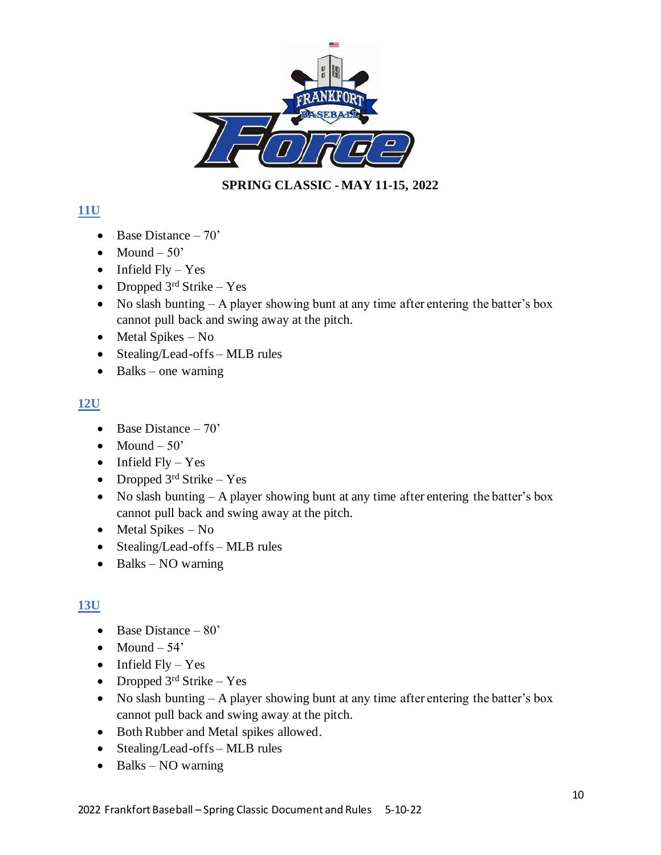

# **11U**

- Base Distance  $-70'$
- Mound  $-50'$
- Infield  $Fly Yes$
- Dropped  $3<sup>rd</sup>$  Strike Yes
- No slash bunting  $-$  A player showing bunt at any time after entering the batter's box cannot pull back and swing away at the pitch.
- Metal Spikes No
- Stealing/Lead-offs MLB rules
- Balks one warning

## **12U**

- Base Distance  $-70$ '
- Mound  $-50'$
- Infield  $Fly Yes$
- Dropped  $3<sup>rd</sup>$  Strike Yes
- No slash bunting A player showing bunt at any time after entering the batter's box cannot pull back and swing away at the pitch.
- Metal Spikes No
- Stealing/Lead-offs MLB rules
- Balks NO warning

## **13U**

- Base Distance  $-80'$
- Mound  $-54'$
- Infield  $Fly Yes$
- Dropped  $3^{rd}$  Strike Yes
- No slash bunting A player showing bunt at any time after entering the batter's box cannot pull back and swing away at the pitch.
- Both Rubber and Metal spikes allowed.
- Stealing/Lead-offs MLB rules
- Balks NO warning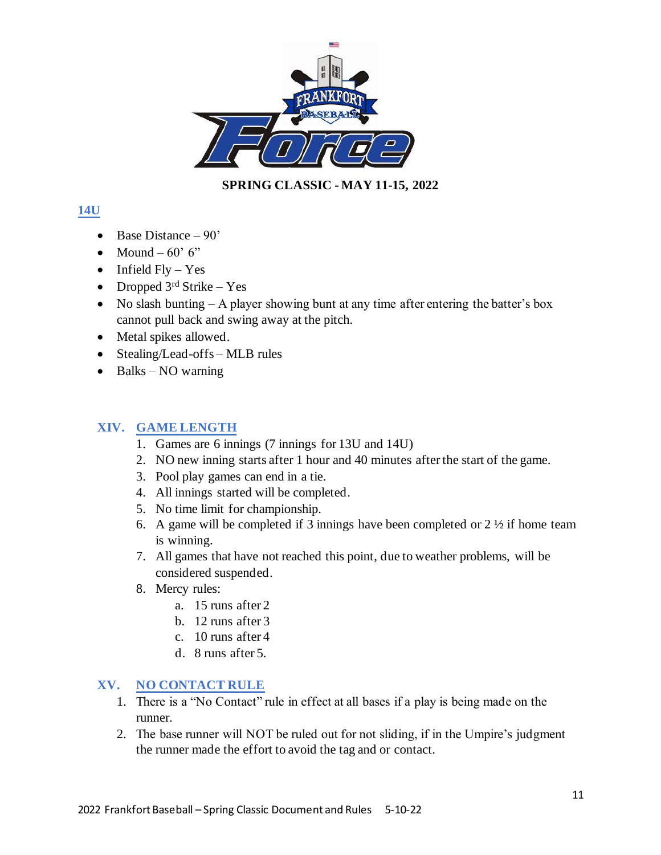

## **14U**

- Base Distance  $-90'$
- Mound  $60^\circ$  6"
- Infield  $Fly Yes$
- Dropped  $3<sup>rd</sup>$  Strike Yes
- No slash bunting  $-$  A player showing bunt at any time after entering the batter's box cannot pull back and swing away at the pitch.
- Metal spikes allowed.
- Stealing/Lead-offs MLB rules
- Balks NO warning

### **XIV. GAME LENGTH**

- 1. Games are 6 innings (7 innings for 13U and 14U)
- 2. NO new inning starts after 1 hour and 40 minutes after the start of the game.
- 3. Pool play games can end in a tie.
- 4. All innings started will be completed.
- 5. No time limit for championship.
- 6. A game will be completed if 3 innings have been completed or  $2\frac{1}{2}$  if home team is winning.
- 7. All games that have not reached this point, due to weather problems, will be considered suspended.
- 8. Mercy rules:
	- a. 15 runs after 2
	- b. 12 runs after 3
	- c. 10 runs after 4
	- d. 8 runs after 5.

### **XV. NO CONTACT RULE**

- 1. There is a "No Contact" rule in effect at all bases if a play is being made on the runner.
- 2. The base runner will NOT be ruled out for not sliding, if in the Umpire's judgment the runner made the effort to avoid the tag and or contact.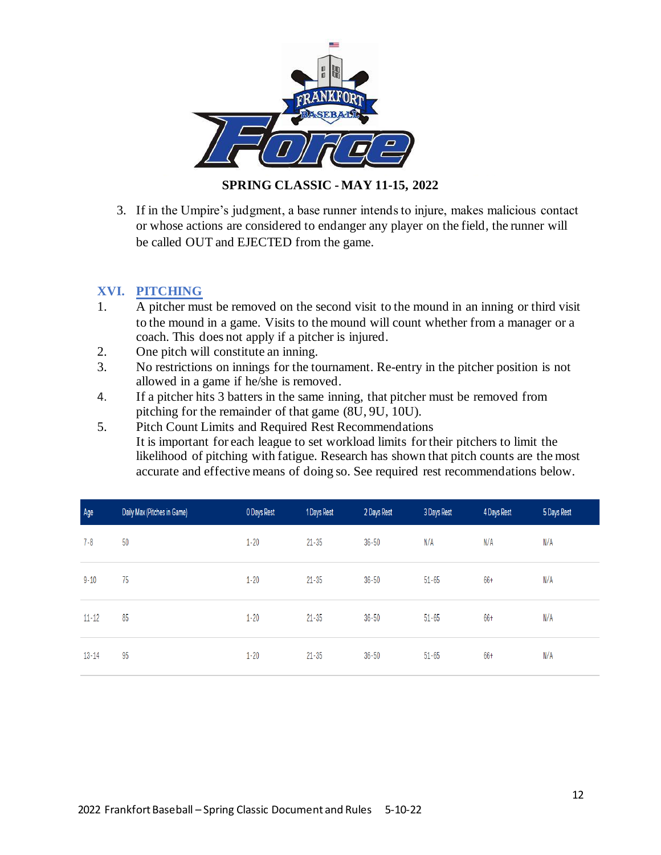

3. If in the Umpire's judgment, a base runner intends to injure, makes malicious contact or whose actions are considered to endanger any player on the field, the runner will be called OUT and EJECTED from the game.

### **XVI. PITCHING**

- 1. A pitcher must be removed on the second visit to the mound in an inning or third visit to the mound in a game. Visits to the mound will count whether from a manager or a coach. This does not apply if a pitcher is injured.
- 2. One pitch will constitute an inning.
- 3. No restrictions on innings for the tournament. Re-entry in the pitcher position is not allowed in a game if he/she is removed.
- 4. If a pitcher hits 3 batters in the same inning, that pitcher must be removed from pitching for the remainder of that game (8U, 9U, 10U).
- 5. Pitch Count Limits and Required Rest Recommendations It is important for each league to set workload limits for their pitchers to limit the likelihood of pitching with fatigue. Research has shown that pitch counts are the most accurate and effective means of doing so. See required rest recommendations below.

| Age       | Daily Max (Pitches in Game) | 0 Days Rest | 1 Days Rest | 2 Days Rest | 3 Days Rest | 4 Days Rest | 5 Days Rest |
|-----------|-----------------------------|-------------|-------------|-------------|-------------|-------------|-------------|
| $7 - 8$   | 50                          | $1 - 20$    | $21 - 35$   | $36 - 50$   | N/A         | N/A         | N/A         |
| $9 - 10$  | 75                          | $1 - 20$    | $21 - 35$   | $36 - 50$   | $51 - 65$   | 66+         | N/A         |
| $11 - 12$ | 85                          | $1 - 20$    | $21 - 35$   | $36 - 50$   | $51 - 65$   | 66+         | N/A         |
| $13 - 14$ | 95                          | $1 - 20$    | $21 - 35$   | $36 - 50$   | $51 - 65$   | 66+         | N/A         |